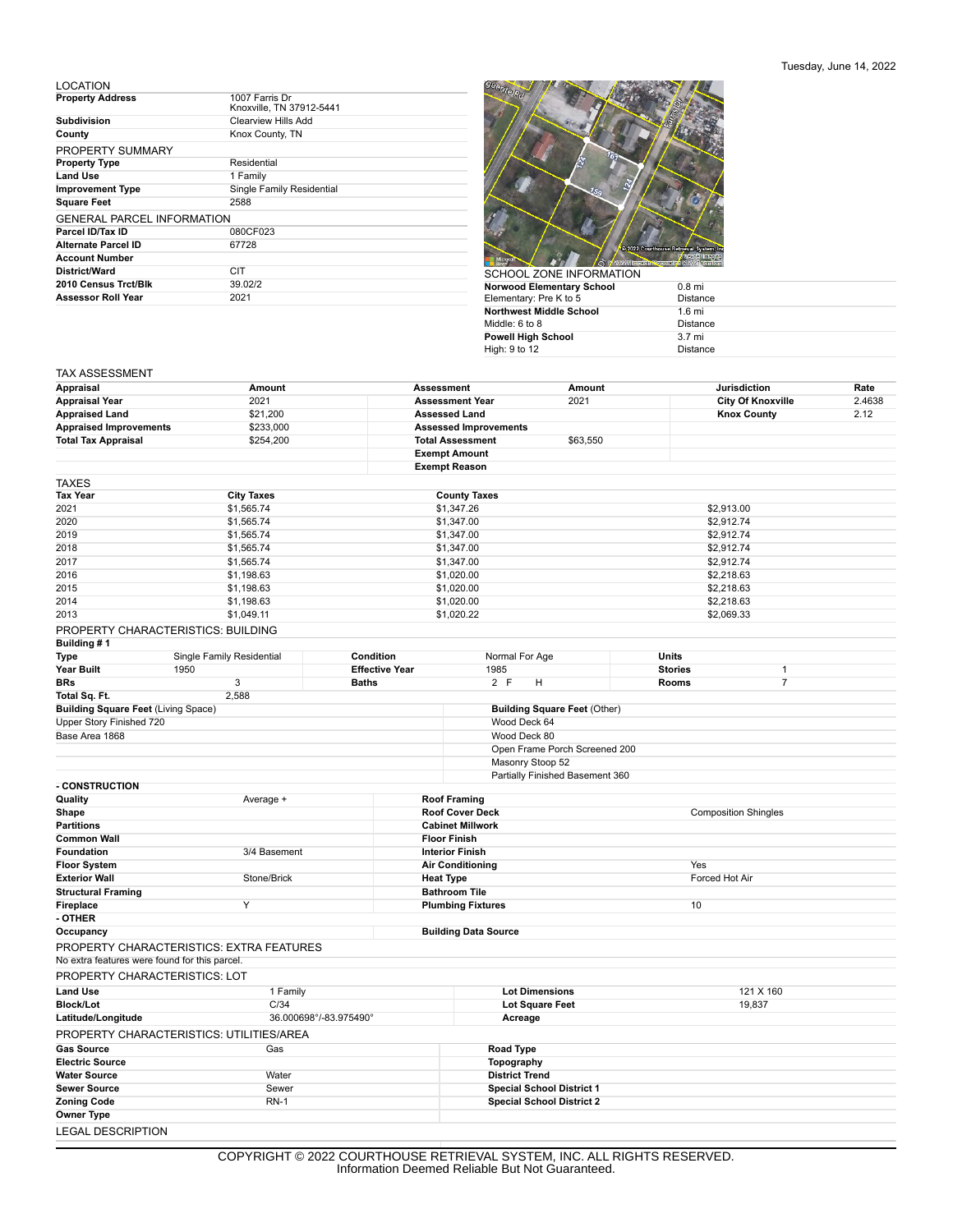## LOCATION

| <b>Property Address</b>           | 1007 Farris Dr<br>Knoxville, TN 37912-5441 |
|-----------------------------------|--------------------------------------------|
| <b>Subdivision</b>                | <b>Clearview Hills Add</b>                 |
| County                            | Knox County, TN                            |
| PROPERTY SUMMARY                  |                                            |
| <b>Property Type</b>              | Residential                                |
| <b>Land Use</b>                   | 1 Family                                   |
| <b>Improvement Type</b>           | Single Family Residential                  |
| <b>Square Feet</b>                | 2588                                       |
| <b>GENERAL PARCEL INFORMATION</b> |                                            |
| Parcel ID/Tax ID                  | 080CF023                                   |
| Alternate Parcel ID               | 67728                                      |
| <b>Account Number</b>             |                                            |
| District/Ward                     | CIT                                        |
| 2010 Census Trct/Blk              | 39.02/2                                    |
| <b>Assessor Roll Year</b>         | 2021                                       |
|                                   |                                            |



| SUHUUL ZUNE INFURMATIUN.  |                  |
|---------------------------|------------------|
| Norwood Elementary School | $0.8$ mi         |
| Elementary: Pre K to 5    | <b>Distance</b>  |
| Northwest Middle School   | $1.6 \text{ mi}$ |
| Middle: 6 to 8            | Distance         |
| Powell High School        | $3.7 \text{ mi}$ |
| High: 9 to 12             | <b>Distance</b>  |
|                           |                  |

## TAX ASSESSMENT

|                                                             |                                          |                                  |                                                         |                                     |                             |                                                 | Rate   |
|-------------------------------------------------------------|------------------------------------------|----------------------------------|---------------------------------------------------------|-------------------------------------|-----------------------------|-------------------------------------------------|--------|
| Appraisal                                                   |                                          | Amount<br><b>Assessment</b>      |                                                         | Amount                              |                             | <b>Jurisdiction</b><br><b>City Of Knoxville</b> |        |
| <b>Appraisal Year</b>                                       | 2021                                     |                                  | <b>Assessment Year</b>                                  | 2021                                |                             |                                                 | 2.4638 |
| <b>Appraised Land</b>                                       | \$21,200                                 |                                  | <b>Assessed Land</b>                                    |                                     |                             | <b>Knox County</b>                              | 2.12   |
| <b>Appraised Improvements</b><br><b>Total Tax Appraisal</b> | \$233,000<br>\$254,200                   |                                  | <b>Assessed Improvements</b><br><b>Total Assessment</b> | \$63,550                            |                             |                                                 |        |
|                                                             |                                          |                                  | <b>Exempt Amount</b>                                    |                                     |                             |                                                 |        |
|                                                             |                                          |                                  | <b>Exempt Reason</b>                                    |                                     |                             |                                                 |        |
|                                                             |                                          |                                  |                                                         |                                     |                             |                                                 |        |
| TAXES                                                       |                                          |                                  |                                                         |                                     |                             |                                                 |        |
| Tax Year<br>2021                                            | <b>City Taxes</b><br>\$1,565.74          |                                  | <b>County Taxes</b><br>\$1,347.26                       |                                     | \$2,913.00                  |                                                 |        |
| 2020                                                        | \$1,565.74                               | \$1,347.00                       |                                                         |                                     |                             |                                                 |        |
| 2019                                                        | \$1,565.74                               | \$1,347.00                       |                                                         | \$2,912.74<br>\$2,912.74            |                             |                                                 |        |
| 2018                                                        | \$1,565.74                               | \$1,347.00                       |                                                         |                                     | \$2,912.74                  |                                                 |        |
| 2017                                                        | \$1,565.74                               | \$1,347.00<br>\$2,912.74         |                                                         |                                     |                             |                                                 |        |
| 2016                                                        | \$1,198.63                               | \$1,020.00                       |                                                         |                                     | \$2,218.63                  |                                                 |        |
| 2015                                                        | \$1,198.63                               | \$1,020.00                       |                                                         |                                     |                             | \$2,218.63                                      |        |
| 2014                                                        | \$1,198.63                               |                                  | \$1,020.00                                              |                                     |                             | \$2,218.63                                      |        |
| 2013                                                        | \$1,049.11                               |                                  | \$1,020.22                                              |                                     | \$2,069.33                  |                                                 |        |
|                                                             | PROPERTY CHARACTERISTICS: BUILDING       |                                  |                                                         |                                     |                             |                                                 |        |
| Building # 1                                                |                                          |                                  |                                                         |                                     |                             |                                                 |        |
| Type                                                        | Single Family Residential                | Condition                        | Normal For Age                                          |                                     | Units                       |                                                 |        |
| Year Built                                                  | 1950                                     | <b>Effective Year</b>            | 1985                                                    |                                     | <b>Stories</b>              | $\mathbf{1}$                                    |        |
| BRs                                                         | 3                                        | <b>Baths</b>                     | 2 F<br>н                                                |                                     | <b>Rooms</b>                | $\overline{7}$                                  |        |
| Total Sq. Ft.                                               | 2,588                                    |                                  |                                                         |                                     |                             |                                                 |        |
| <b>Building Square Feet (Living Space)</b>                  |                                          |                                  |                                                         | <b>Building Square Feet (Other)</b> |                             |                                                 |        |
| Upper Story Finished 720                                    |                                          |                                  | Wood Deck 64                                            |                                     |                             |                                                 |        |
| Base Area 1868                                              |                                          |                                  | Wood Deck 80                                            |                                     |                             |                                                 |        |
|                                                             |                                          |                                  |                                                         | Open Frame Porch Screened 200       |                             |                                                 |        |
|                                                             |                                          |                                  | Masonry Stoop 52                                        |                                     |                             |                                                 |        |
|                                                             |                                          |                                  |                                                         | Partially Finished Basement 360     |                             |                                                 |        |
| <b>CONSTRUCTION</b>                                         |                                          |                                  |                                                         |                                     |                             |                                                 |        |
| Quality                                                     | Average +                                |                                  | <b>Roof Framing</b>                                     |                                     |                             |                                                 |        |
| Shape                                                       |                                          |                                  | <b>Roof Cover Deck</b>                                  |                                     | <b>Composition Shingles</b> |                                                 |        |
| Partitions<br><b>Common Wall</b>                            |                                          |                                  | <b>Cabinet Millwork</b><br><b>Floor Finish</b>          |                                     |                             |                                                 |        |
| Foundation                                                  | 3/4 Basement                             |                                  | <b>Interior Finish</b>                                  |                                     |                             |                                                 |        |
| <b>Floor System</b>                                         |                                          |                                  | <b>Air Conditioning</b>                                 |                                     |                             |                                                 |        |
| Exterior Wall                                               | Stone/Brick                              |                                  |                                                         | <b>Heat Type</b>                    |                             | Yes<br>Forced Hot Air                           |        |
| <b>Structural Framing</b>                                   |                                          | <b>Bathroom Tile</b>             |                                                         |                                     |                             |                                                 |        |
| Fireplace                                                   | Y                                        |                                  | 10<br><b>Plumbing Fixtures</b>                          |                                     |                             |                                                 |        |
| - OTHER                                                     |                                          |                                  |                                                         |                                     |                             |                                                 |        |
| Occupancy                                                   |                                          |                                  | <b>Building Data Source</b>                             |                                     |                             |                                                 |        |
| No extra features were found for this parcel.               | PROPERTY CHARACTERISTICS: EXTRA FEATURES |                                  |                                                         |                                     |                             |                                                 |        |
|                                                             |                                          |                                  |                                                         |                                     |                             |                                                 |        |
|                                                             | PROPERTY CHARACTERISTICS: LOT            |                                  |                                                         |                                     |                             |                                                 |        |
| <b>Land Use</b>                                             | 1 Family                                 |                                  | <b>Lot Dimensions</b><br>121 X 160                      |                                     |                             |                                                 |        |
| Block/Lot                                                   | C/34<br>36.000698°/-83.975490°           |                                  | <b>Lot Square Feet</b>                                  |                                     |                             | 19,837                                          |        |
| Latitude/Longitude                                          |                                          |                                  | Acreage                                                 |                                     |                             |                                                 |        |
|                                                             | PROPERTY CHARACTERISTICS: UTILITIES/AREA |                                  |                                                         |                                     |                             |                                                 |        |
| <b>Gas Source</b>                                           | Gas                                      |                                  | Road Type                                               |                                     |                             |                                                 |        |
| <b>Electric Source</b>                                      |                                          |                                  | Topography                                              |                                     |                             |                                                 |        |
| <b>Water Source</b>                                         | Water                                    |                                  | <b>District Trend</b>                                   |                                     |                             |                                                 |        |
| <b>Sewer Source</b>                                         | Sewer                                    | <b>Special School District 1</b> |                                                         |                                     |                             |                                                 |        |
| Zoning Code                                                 | <b>RN-1</b>                              |                                  |                                                         | <b>Special School District 2</b>    |                             |                                                 |        |
| Owner Type                                                  |                                          |                                  |                                                         |                                     |                             |                                                 |        |
| <b>LEGAL DESCRIPTION</b>                                    |                                          |                                  |                                                         |                                     |                             |                                                 |        |